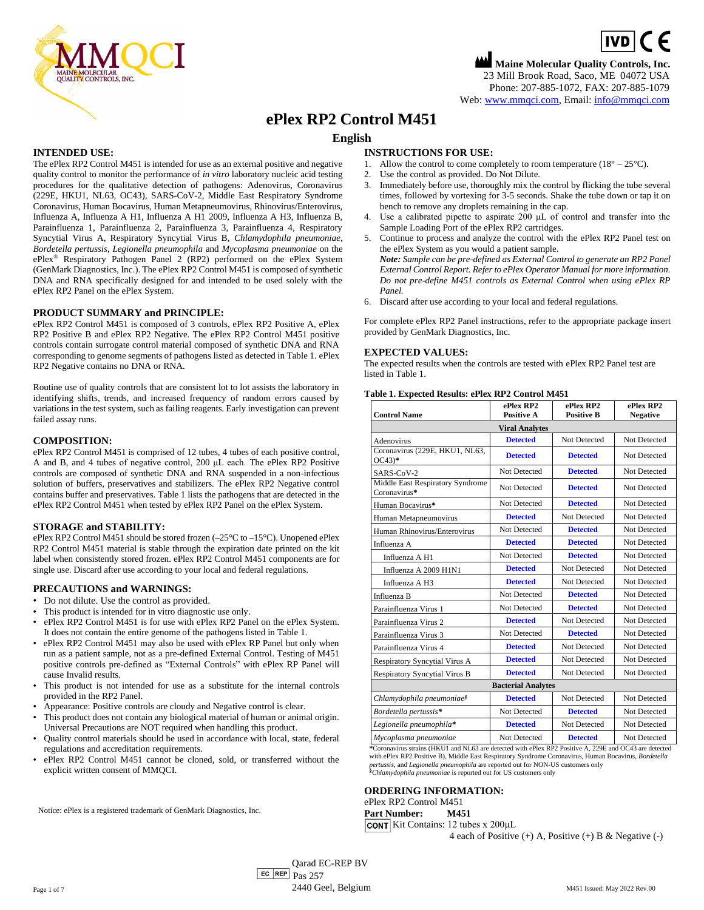

# **Maine Molecular Quality Controls, Inc.**  $\boxed{\mathsf{ivD}}$  (  $\in$ 23 Mill Brook Road, Saco, ME 04072 USA Phone: 207-885-1072, FAX: 207-885-1079 Web[: www.mmqci.com,](file://///FS1/Common/Company/CE%20Marking/M451/Translation/Translation%20Received%2005.12.2022/www.mmqci.com) Email: [info@mmqci.com](mailto:info@mmqci.com)

# **ePlex RP2 Control M451**

# **English**

# **INTENDED USE:**

The ePlex RP2 Control M451 is intended for use as an external positive and negative quality control to monitor the performance of *in vitro* laboratory nucleic acid testing procedures for the qualitative detection of pathogens: Adenovirus, Coronavirus (229E, HKU1, NL63, OC43), SARS-CoV-2, Middle East Respiratory Syndrome Coronavirus, Human Bocavirus, Human Metapneumovirus, Rhinovirus/Enterovirus, Influenza A, Influenza A H1, Influenza A H1 2009, Influenza A H3, Influenza B, Parainfluenza 1, Parainfluenza 2, Parainfluenza 3, Parainfluenza 4, Respiratory Syncytial Virus A, Respiratory Syncytial Virus B, *Chlamydophila pneumoniae, Bordetella pertussis, Legionella pneumophila* and *Mycoplasma pneumoniae* on the ePlex® Respiratory Pathogen Panel 2 (RP2) performed on the ePlex System (GenMark Diagnostics, Inc.). The ePlex RP2 Control M451 is composed of synthetic DNA and RNA specifically designed for and intended to be used solely with the ePlex RP2 Panel on the ePlex System.

## **PRODUCT SUMMARY and PRINCIPLE:**

ePlex RP2 Control M451 is composed of 3 controls, ePlex RP2 Positive A, ePlex RP2 Positive B and ePlex RP2 Negative. The ePlex RP2 Control M451 positive controls contain surrogate control material composed of synthetic DNA and RNA corresponding to genome segments of pathogens listed as detected in Table 1. ePlex RP2 Negative contains no DNA or RNA.

Routine use of quality controls that are consistent lot to lot assists the laboratory in identifying shifts, trends, and increased frequency of random errors caused by variations in the test system, such as failing reagents. Early investigation can prevent failed assay runs.

## **COMPOSITION:**

ePlex RP2 Control M451 is comprised of 12 tubes, 4 tubes of each positive control, A and B, and 4 tubes of negative control, 200 μL each. The ePlex RP2 Positive controls are composed of synthetic DNA and RNA suspended in a non-infectious solution of buffers, preservatives and stabilizers. The ePlex RP2 Negative control contains buffer and preservatives. Table 1 lists the pathogens that are detected in the ePlex RP2 Control M451 when tested by ePlex RP2 Panel on the ePlex System.

### **STORAGE and STABILITY:**

ePlex RP2 Control M451 should be stored frozen (–25°C to –15°C). Unopened ePlex RP2 Control M451 material is stable through the expiration date printed on the kit label when consistently stored frozen. ePlex RP2 Control M451 components are for single use. Discard after use according to your local and federal regulations.

### **PRECAUTIONS and WARNINGS:**

- Do not dilute. Use the control as provided.
- This product is intended for in vitro diagnostic use only.
- ePlex RP2 Control M451 is for use with ePlex RP2 Panel on the ePlex System. It does not contain the entire genome of the pathogens listed in Table 1.
- ePlex RP2 Control M451 may also be used with ePlex RP Panel but only when run as a patient sample, not as a pre-defined External Control. Testing of M451 positive controls pre-defined as "External Controls" with ePlex RP Panel will cause Invalid results.
- This product is not intended for use as a substitute for the internal controls provided in the RP2 Panel.
- Appearance: Positive controls are cloudy and Negative control is clear.
- This product does not contain any biological material of human or animal origin. Universal Precautions are NOT required when handling this product.
- Quality control materials should be used in accordance with local, state, federal regulations and accreditation requirements.
- ePlex RP2 Control M451 cannot be cloned, sold, or transferred without the explicit written consent of MMQCI.

Notice: ePlex is a registered trademark of GenMark Diagnostics, Inc.

### **INSTRUCTIONS FOR USE:**

- 1. Allow the control to come completely to room temperature  $(18^{\circ} 25^{\circ}C)$ .
- 2. Use the control as provided. Do Not Dilute.
- 3. Immediately before use, thoroughly mix the control by flicking the tube several times, followed by vortexing for 3-5 seconds. Shake the tube down or tap it on bench to remove any droplets remaining in the cap.
- 4. Use a calibrated pipette to aspirate 200 μL of control and transfer into the Sample Loading Port of the ePlex RP2 cartridges.
- 5. Continue to process and analyze the control with the ePlex RP2 Panel test on the ePlex System as you would a patient sample. *Note: Sample can be pre-defined as External Control to generate an RP2 Panel*
- *External Control Report. Refer to ePlex Operator Manual for more information. Do not pre-define M451 controls as External Control when using ePlex RP Panel.*
- 6. Discard after use according to your local and federal regulations.

For complete ePlex RP2 Panel instructions, refer to the appropriate package insert provided by GenMark Diagnostics, Inc.

## **EXPECTED VALUES:**

The expected results when the controls are tested with ePlex RP2 Panel test are listed in Table 1.

### **Table 1. Expected Results: ePlex RP2 Control M451**

| <b>Control Name</b>                              | ePlex RP2<br><b>Positive A</b> | ePlex RP2<br><b>Positive B</b> | ePlex RP2<br><b>Negative</b> |
|--------------------------------------------------|--------------------------------|--------------------------------|------------------------------|
| <b>Viral Analytes</b>                            |                                |                                |                              |
| Adenovirus                                       | <b>Detected</b>                | Not Detected                   | Not Detected                 |
| Coronavirus (229E, HKU1, NL63,<br>$OC43)*$       | <b>Detected</b>                | <b>Detected</b>                | Not Detected                 |
| SARS-CoV-2                                       | Not Detected                   | <b>Detected</b>                | Not Detected                 |
| Middle East Respiratory Syndrome<br>Coronavirus* | Not Detected                   | <b>Detected</b>                | Not Detected                 |
| Human Bocavirus*                                 | Not Detected                   | <b>Detected</b>                | Not Detected                 |
| Human Metapneumovirus                            | <b>Detected</b>                | Not Detected                   | Not Detected                 |
| Human Rhinovirus/Enterovirus                     | Not Detected                   | <b>Detected</b>                | Not Detected                 |
| Influenza A                                      | <b>Detected</b>                | <b>Detected</b>                | Not Detected                 |
| Influenza A H1                                   | Not Detected                   | <b>Detected</b>                | Not Detected                 |
| Influenza A 2009 H1N1                            | <b>Detected</b>                | Not Detected                   | Not Detected                 |
| Influenza A H3                                   | <b>Detected</b>                | Not Detected                   | Not Detected                 |
| Influenza B                                      | Not Detected                   | <b>Detected</b>                | Not Detected                 |
| Parainfluenza Virus 1                            | Not Detected                   | <b>Detected</b>                | Not Detected                 |
| Parainfluenza Virus 2                            | <b>Detected</b>                | Not Detected                   | Not Detected                 |
| Parainfluenza Virus 3                            | Not Detected                   | <b>Detected</b>                | Not Detected                 |
| Parainfluenza Virus 4                            | <b>Detected</b>                | Not Detected                   | Not Detected                 |
| <b>Respiratory Syncytial Virus A</b>             | <b>Detected</b>                | Not Detected                   | Not Detected                 |
| <b>Respiratory Syncytial Virus B</b>             | <b>Detected</b>                | Not Detected                   | Not Detected                 |
| <b>Bacterial Analytes</b>                        |                                |                                |                              |
| Chlamydophila pneumoniae <sup>§</sup>            | <b>Detected</b>                | Not Detected                   | Not Detected                 |
| Bordetella pertussis*                            | Not Detected                   | <b>Detected</b>                | Not Detected                 |
| Legionella pneumophila*                          | <b>Detected</b>                | Not Detected                   | Not Detected                 |
|                                                  |                                |                                |                              |

*Mycoplasma pneumoniae* Not Detected **Detected** Not Detected **\***Coronavirus strains (HKU1 and NL63 are detected with ePlex RP2 Positive A, 229E and OC43 are detected with ePlex RP2 Positive B), Middle East Respiratory Syndrome Coronavirus, Human Bocavirus, *Bordetella pertussis,* and *Legionella pneumophila* are reported out for NON-US customers only *§Chlamydophila pneumoniae* is reported out for US customers only

### **ORDERING INFORMATION:**

ePlex RP2 Control M451

**Part Number: M451**  $|$ CONT Kit Contains: 12 tubes x 200 $\mu$ L

4 each of Positive  $(+)$  A, Positive  $(+)$  B & Negative  $(-)$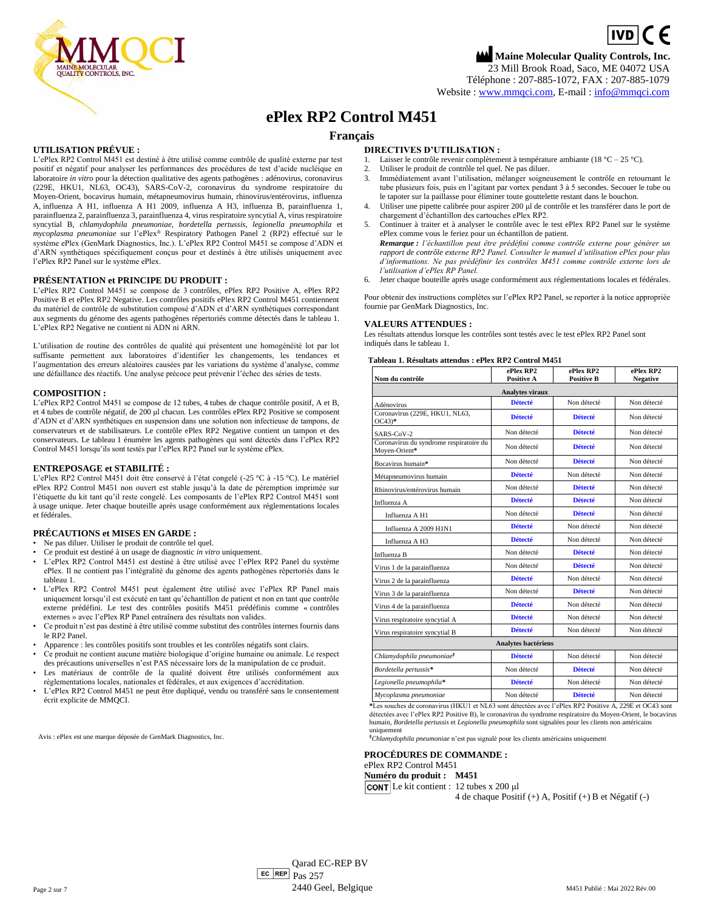$\boxed{IVD}$  (  $\in$ **Maine Molecular Quality Controls, Inc.** 23 Mill Brook Road, Saco, ME 04072 USA

Téléphone : 207-885-1072, FAX : 207-885-1079

Website [: www.mmqci.com,](file://///FS1/Common/Company/CE%20Marking/M451/Translation/Translation%20Received%2005.12.2022/www.mmqci.com) E-mail : [info@mmqci.com](mailto:info@mmqci.com)

# **ePlex RP2 Control M451**

# **Français**

## **UTILISATION PRÉVUE :**

L'ePlex RP2 Control M451 est destiné à être utilisé comme contrôle de qualité externe par test positif et négatif pour analyser les performances des procédures de test d'acide nucléique en laboratoire *in vitro* pour la détection qualitative des agents pathogènes : adénovirus, coronavirus (229E, HKU1, NL63, OC43), SARS-CoV-2, coronavirus du syndrome respiratoire du Moyen-Orient, bocavirus humain, métapneumovirus humain, rhinovirus/entérovirus, influenza A, influenza A H1, influenza A H1 2009, influenza A H3, influenza B, parainfluenza 1, parainfluenza 2, parainfluenza 3, parainfluenza 4, virus respiratoire syncytial A, virus respiratoire syncytial B, *chlamydophila pneumoniae, bordetella pertussis, legionella pneumophila* et *mycoplasma pneumoniae* sur l'ePlex® Respiratory Pathogen Panel 2 (RP2) effectué sur le système ePlex (GenMark Diagnostics, Inc.). L'ePlex RP2 Control M451 se compose d'ADN et d'ARN synthétiques spécifiquement conçus pour et destinés à être utilisés uniquement avec l'ePlex RP2 Panel sur le système ePlex.

### **PRÉSENTATION et PRINCIPE DU PRODUIT :**

L'ePlex RP2 Control M451 se compose de 3 contrôles, ePlex RP2 Positive A, ePlex RP2 Positive B et ePlex RP2 Negative. Les contrôles positifs ePlex RP2 Control M451 contiennent du matériel de contrôle de substitution composé d'ADN et d'ARN synthétiques correspondant aux segments du génome des agents pathogènes répertoriés comme détectés dans le tableau 1. L'ePlex RP2 Negative ne contient ni ADN ni ARN.

L'utilisation de routine des contrôles de qualité qui présentent une homogénéité lot par lot suffisante permettent aux laboratoires d'identifier les changements, les tendances et l'augmentation des erreurs aléatoires causées par les variations du système d'analyse, comme une défaillance des réactifs. Une analyse précoce peut prévenir l'échec des séries de tests.

### **COMPOSITION :**

L'ePlex RP2 Control M451 se compose de 12 tubes, 4 tubes de chaque contrôle positif, A et B, et 4 tubes de contrôle négatif, de 200 μl chacun. Les contrôles ePlex RP2 Positive se composent d'ADN et d'ARN synthétiques en suspension dans une solution non infectieuse de tampons, de conservateurs et de stabilisateurs. Le contrôle ePlex RP2 Negative contient un tampon et des conservateurs. Le tableau 1 énumère les agents pathogènes qui sont détectés dans l'ePlex RP2 Control M451 lorsqu'ils sont testés par l'ePlex RP2 Panel sur le système ePlex.

### **ENTREPOSAGE et STABILITÉ :**

L'ePlex RP2 Control M451 doit être conservé à l'état congelé (-25 °C à -15 °C). Le matériel ePlex RP2 Control M451 non ouvert est stable jusqu'à la date de péremption imprimée sur l'étiquette du kit tant qu'il reste congelé. Les composants de l'ePlex RP2 Control M451 sont à usage unique. Jeter chaque bouteille après usage conformément aux réglementations locales et fédérales.

### **PRÉCAUTIONS et MISES EN GARDE :**

- Ne pas diluer. Utiliser le produit de contrôle tel quel.
- Ce produit est destiné à un usage de diagnostic *in vitro* uniquement.
- L'ePlex RP2 Control M451 est destiné à être utilisé avec l'ePlex RP2 Panel du système ePlex. Il ne contient pas l'intégralité du génome des agents pathogènes répertoriés dans le tableau 1.
- L'ePlex RP2 Control M451 peut également être utilisé avec l'ePlex RP Panel mais uniquement lorsqu'il est exécuté en tant qu'échantillon de patient et non en tant que contrôle externe prédéfini. Le test des contrôles positifs M451 prédéfinis comme « contrôles externes » avec l'ePlex RP Panel entraînera des résultats non valides.
- Ce produit n'est pas destiné à être utilisé comme substitut des contrôles internes fournis dans le RP2 Panel.
- Apparence : les contrôles positifs sont troubles et les contrôles négatifs sont clairs.
- Ce produit ne contient aucune matière biologique d'origine humaine ou animale. Le respect des précautions universelles n'est PAS nécessaire lors de la manipulation de ce produit.
- Les matériaux de contrôle de la qualité doivent être utilisés conformément aux réglementations locales, nationales et fédérales, et aux exigences d'accréditation.
- L'ePlex RP2 Control M451 ne peut être dupliqué, vendu ou transféré sans le consentement écrit explicite de MMQCI.

Avis : ePlex est une marque déposée de GenMark Diagnostics, Inc.

### **DIRECTIVES D'UTILISATION :**

- 1. Laisser le contrôle revenir complètement à température ambiante (18 °C 25 °C).<br>2. L'Itiliser le produit de contrôle tel quel Ne pas diluer
- 2. Utiliser le produit de contrôle tel quel. Ne pas diluer.
- 3. Immédiatement avant l'utilisation, mélanger soigneusement le contrôle en retournant le tube plusieurs fois, puis en l'agitant par vortex pendant 3 à 5 secondes. Secouer le tube ou le tapoter sur la paillasse pour éliminer toute gouttelette restant dans le bouchon.
- 4. Utiliser une pipette calibrée pour aspirer 200 μl de contrôle et les transférer dans le port de chargement d'échantillon des cartouches ePlex RP2.
- 5. Continuer à traiter et à analyser le contrôle avec le test ePlex RP2 Panel sur le système ePlex comme vous le feriez pour un échantillon de patient. *Remarque : l'échantillon peut être prédéfini comme contrôle externe pour générer un*
- *rapport de contrôle externe RP2 Panel. Consulter le manuel d'utilisation ePlex pour plus d'informations. Ne pas prédéfinir les contrôles M451 comme contrôle externe lors de l'utilisation d'ePlex RP Panel.*
- 6. Jeter chaque bouteille après usage conformément aux réglementations locales et fédérales.
- Pour obtenir des instructions complètes sur l'ePlex RP2 Panel, se reporter à la notice appropriée fournie par GenMark Diagnostics, Inc.

### **VALEURS ATTENDUES :**

Les résultats attendus lorsque les contrôles sont testés avec le test ePlex RP2 Panel sont indiqués dans le tableau 1.

### **Tableau 1. Résultats attendus : ePlex RP2 Control M451**

| Nom du contrôle                                          | ePlex RP2<br><b>Positive A</b> | ePlex RP2<br><b>Positive B</b> | ePlex RP2<br><b>Negative</b> |
|----------------------------------------------------------|--------------------------------|--------------------------------|------------------------------|
|                                                          | Analytes viraux                |                                |                              |
| Adénovirus                                               | <b>Détecté</b>                 | Non détecté                    | Non détecté                  |
| Coronavirus (229E, HKU1, NL63,<br>$OC43)*$               | <b>Détecté</b>                 | <b>Détecté</b>                 | Non détecté                  |
| SARS-CoV-2                                               | Non détecté                    | <b>Détecté</b>                 | Non détecté                  |
| Coronavirus du syndrome respiratoire du<br>Moyen-Orient* | Non détecté                    | <b>Détecté</b>                 | Non détecté                  |
| Bocavirus humain*                                        | Non détecté                    | <b>Détecté</b>                 | Non détecté                  |
| Métapneumovirus humain                                   | <b>Détecté</b>                 | Non détecté                    | Non détecté                  |
| Rhinovirus/entérovirus humain                            | Non détecté                    | <b>Détecté</b>                 | Non détecté                  |
| Influenza A                                              | <b>Détecté</b>                 | <b>Détecté</b>                 | Non détecté                  |
| Influenza A H1                                           | Non détecté                    | <b>Détecté</b>                 | Non détecté                  |
| Influenza A 2009 H1N1                                    | <b>Détecté</b>                 | Non détecté                    | Non détecté                  |
| Influenza A H3                                           | <b>Détecté</b>                 | Non détecté                    | Non détecté                  |
| Influenza B                                              | Non détecté                    | <b>Détecté</b>                 | Non détecté                  |
| Virus 1 de la parainfluenza                              | Non détecté                    | <b>Détecté</b>                 | Non détecté                  |
| Virus 2 de la parainfluenza                              | <b>Détecté</b>                 | Non détecté                    | Non détecté                  |
| Virus 3 de la parainfluenza                              | Non détecté                    | <b>Détecté</b>                 | Non détecté                  |
| Virus 4 de la parainfluenza                              | <b>Détecté</b>                 | Non détecté                    | Non détecté                  |
| Virus respiratoire syncytial A                           | <b>Détecté</b>                 | Non détecté                    | Non détecté                  |
| Virus respiratoire syncytial B                           | <b>Détecté</b>                 | Non détecté                    | Non détecté                  |
|                                                          | <b>Analytes bactériens</b>     |                                |                              |
| Chlamydophila pneumoniae <sup>§</sup>                    | <b>Détecté</b>                 | Non détecté                    | Non détecté                  |
| Bordetella pertussis*                                    | Non détecté                    | <b>Détecté</b>                 | Non détecté                  |
| Legionella pneumophila*                                  | <b>Détecté</b>                 | Non détecté                    | Non détecté                  |
| Mycoplasma pneumoniae                                    | Non détecté                    | <b>Détecté</b>                 | Non détecté                  |

**\***Les souches de coronavirus (HKU1 et NL63 sont détectées avec l'ePlex RP2 Positive A, 229E et OC43 sont détectées avec l'ePlex RP2 Positive B), le coronavirus du syndrome respiratoire du Moyen-Orient, le bocavirus<br>humain, *Bordetella pertussis* et *Legionella pneumophila* sont signalées pour les clients non américains uniquement

*§Chlamydophila pneumoniae* n'est pas signalé pour les clients américains uniquement

**PROCÉDURES DE COMMANDE :**

ePlex RP2 Control M451

**Numéro du produit : M451**

Le kit contient : 12 tubes x 200 μl

4 de chaque Positif (+) A, Positif (+) B et Négatif (-)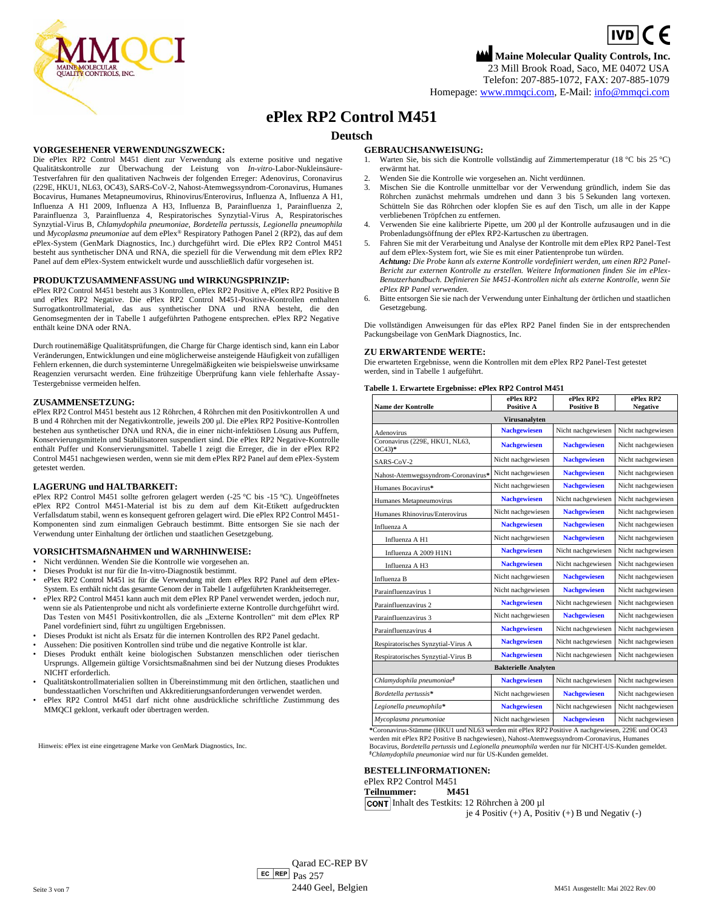$\boxed{IVD}$  (  $\in$ **Maine Molecular Quality Controls, Inc.**

23 Mill Brook Road, Saco, ME 04072 USA Telefon: 207-885-1072, FAX: 207-885-1079

Homepage[: www.mmqci.com,](file://///FS1/Common/Company/CE%20Marking/M451/Translation/Translation%20Received%2005.12.2022/www.mmqci.com) E-Mail: [info@mmqci.com](mailto:info@mmqci.com)

# **ePlex RP2 Control M451**

# **Deutsch**

# **VORGESEHENER VERWENDUNGSZWECK:**

Die ePlex RP2 Control M451 dient zur Verwendung als externe positive und negative Qualitätskontrolle zur Überwachung der Leistung von *In-vitro*-Labor-Nukleinsäure-Testverfahren für den qualitativen Nachweis der folgenden Erreger: Adenovirus, Coronavirus (229E, HKU1, NL63, OC43), SARS-CoV-2, Nahost-Atemwegssyndrom-Coronavirus, Humanes Bocavirus, Humanes Metapneumovirus, Rhinovirus/Enterovirus, Influenza A, Influenza A H1, Influenza A H1 2009, Influenza A H3, Influenza B, Parainfluenza 1, Parainfluenza 2, Parainfluenza 3, Parainfluenza 4, Respiratorisches Synzytial-Virus A, Respiratorisches Synzytial-Virus B, *Chlamydophila pneumoniae, Bordetella pertussis, Legionella pneumophila*  und *Mycoplasma pneumoniae* auf dem ePlex® Respiratory Pathogen Panel 2 (RP2), das auf dem ePlex-System (GenMark Diagnostics, Inc.) durchgeführt wird. Die ePlex RP2 Control M451 besteht aus synthetischer DNA und RNA, die speziell für die Verwendung mit dem ePlex RP2 Panel auf dem ePlex-System entwickelt wurde und ausschließlich dafür vorgesehen ist.

### **PRODUKTZUSAMMENFASSUNG und WIRKUNGSPRINZIP:**

ePlex RP2 Control M451 besteht aus 3 Kontrollen, ePlex RP2 Positive A, ePlex RP2 Positive B und ePlex RP2 Negative. Die ePlex RP2 Control M451-Positive-Kontrollen enthalten Surrogatkontrollmaterial, das aus synthetischer DNA und RNA besteht, die den Genomsegmenten der in Tabelle 1 aufgeführten Pathogene entsprechen. ePlex RP2 Negative enthält keine DNA oder RNA.

Durch routinemäßige Qualitätsprüfungen, die Charge für Charge identisch sind, kann ein Labor Veränderungen, Entwicklungen und eine möglicherweise ansteigende Häufigkeit von zufälligen Fehlern erkennen, die durch systeminterne Unregelmäßigkeiten wie beispielsweise unwirksame Reagenzien verursacht werden. Eine frühzeitige Überprüfung kann viele fehlerhafte Assay-Testergebnisse vermeiden helfen.

### **ZUSAMMENSETZUNG:**

ePlex RP2 Control M451 besteht aus 12 Röhrchen, 4 Röhrchen mit den Positivkontrollen A und B und 4 Röhrchen mit der Negativkontrolle, jeweils 200 μl. Die ePlex RP2 Positive-Kontrollen bestehen aus synthetischer DNA und RNA, die in einer nicht-infektiösen Lösung aus Puffern, Konservierungsmitteln und Stabilisatoren suspendiert sind. Die ePlex RP2 Negative-Kontrolle enthält Puffer und Konservierungsmittel. Tabelle 1 zeigt die Erreger, die in der ePlex RP2 Control M451 nachgewiesen werden, wenn sie mit dem ePlex RP2 Panel auf dem ePlex-System getestet werden.

### **LAGERUNG und HALTBARKEIT:**

ePlex RP2 Control M451 sollte gefroren gelagert werden (-25 °C bis -15 °C). Ungeöffnetes ePlex RP2 Control M451-Material ist bis zu dem auf dem Kit-Etikett aufgedruckten Verfallsdatum stabil, wenn es konsequent gefroren gelagert wird. Die ePlex RP2 Control M451- Komponenten sind zum einmaligen Gebrauch bestimmt. Bitte entsorgen Sie sie nach der Verwendung unter Einhaltung der örtlichen und staatlichen Gesetzgebung.

#### **VORSICHTSMAẞNAHMEN und WARNHINWEISE:**

- Nicht verdünnen. Wenden Sie die Kontrolle wie vorgesehen an.
- Dieses Produkt ist nur für die In-vitro-Diagnostik bestimmt.
- ePlex RP2 Control M451 ist für die Verwendung mit dem ePlex RP2 Panel auf dem ePlex-System. Es enthält nicht das gesamte Genom der in Tabelle 1 aufgeführten Krankheitserreger.
- ePlex RP2 Control M451 kann auch mit dem ePlex RP Panel verwendet werden, jedoch nur, wenn sie als Patientenprobe und nicht als vordefinierte externe Kontrolle durchgeführt wird. Das Testen von M451 Positivkontrollen, die als "Externe Kontrollen" mit dem ePlex RP Panel vordefiniert sind, führt zu ungültigen Ergebnissen.
- Dieses Produkt ist nicht als Ersatz für die internen Kontrollen des RP2 Panel gedacht.
- Aussehen: Die positiven Kontrollen sind trübe und die negative Kontrolle ist klar.
- Dieses Produkt enthält keine biologischen Substanzen menschlichen oder tierischen Ursprungs. Allgemein gültige Vorsichtsmaßnahmen sind bei der Nutzung dieses Produktes NICHT erforderlich.
- Qualitätskontrollmaterialien sollten in Übereinstimmung mit den örtlichen, staatlichen und bundesstaatlichen Vorschriften und Akkreditierungsanforderungen verwendet werden.
- ePlex RP2 Control M451 darf nicht ohne ausdrückliche schriftliche Zustimmung des MMQCI geklont, verkauft oder übertragen werden.

Hinweis: ePlex ist eine eingetragene Marke von GenMark Diagnostics, Inc.

## **GEBRAUCHSANWEISUNG:**

- Warten Sie, bis sich die Kontrolle vollständig auf Zimmertemperatur (18 °C bis 25 °C) erwärmt hat.
- 2. Wenden Sie die Kontrolle wie vorgesehen an. Nicht verdünnen.
- 3. Mischen Sie die Kontrolle unmittelbar vor der Verwendung gründlich, indem Sie das Röhrchen zunächst mehrmals umdrehen und dann 3 bis 5 Sekunden lang vortexen. Schütteln Sie das Röhrchen oder klopfen Sie es auf den Tisch, um alle in der Kappe verbliebenen Tröpfchen zu entfernen.
- 4. Verwenden Sie eine kalibrierte Pipette, um 200 μl der Kontrolle aufzusaugen und in die Probenladungsöffnung der ePlex RP2-Kartuschen zu übertragen.
- 5. Fahren Sie mit der Verarbeitung und Analyse der Kontrolle mit dem ePlex RP2 Panel-Test auf dem ePlex-System fort, wie Sie es mit einer Patientenprobe tun würden. *Achtung: Die Probe kann als externe Kontrolle vordefiniert werden, um einen RP2 Panel-*
- *Bericht zur externen Kontrolle zu erstellen. Weitere Informationen finden Sie im ePlex-Benutzerhandbuch. Definieren Sie M451-Kontrollen nicht als externe Kontrolle, wenn Sie ePlex RP Panel verwenden.*
- 6. Bitte entsorgen Sie sie nach der Verwendung unter Einhaltung der örtlichen und staatlichen Gesetzgebung.

Die vollständigen Anweisungen für das ePlex RP2 Panel finden Sie in der entsprechenden Packungsbeilage von GenMark Diagnostics, Inc.

## **ZU ERWARTENDE WERTE:**

Die erwarteten Ergebnisse, wenn die Kontrollen mit dem ePlex RP2 Panel-Test getestet werden, sind in Tabelle 1 aufgeführt.

### **Tabelle 1. Erwartete Ergebnisse: ePlex RP2 Control M451**

| <b>Name der Kontrolle</b>                  | ePlex RP2<br><b>Positive A</b> | ePlex RP2<br><b>Positive B</b> | ePlex RP2<br><b>Negative</b> |
|--------------------------------------------|--------------------------------|--------------------------------|------------------------------|
|                                            | Virusanalyten                  |                                |                              |
| Adenovirus                                 | <b>Nachgewiesen</b>            | Nicht nachgewiesen             | Nicht nachgewiesen           |
| Coronavirus (229E, HKU1, NL63,<br>$OC43)*$ | <b>Nachgewiesen</b>            | <b>Nachgewiesen</b>            | Nicht nachgewiesen           |
| SARS-CoV-2                                 | Nicht nachgewiesen             | <b>Nachgewiesen</b>            | Nicht nachgewiesen           |
| Nahost-Atemwegssyndrom-Coronavirus*        | Nicht nachgewiesen             | <b>Nachgewiesen</b>            | Nicht nachgewiesen           |
| Humanes Bocavirus*                         | Nicht nachgewiesen             | <b>Nachgewiesen</b>            | Nicht nachgewiesen           |
| Humanes Metapneumovirus                    | <b>Nachgewiesen</b>            | Nicht nachgewiesen             | Nicht nachgewiesen           |
| Humanes Rhinovirus/Enterovirus             | Nicht nachgewiesen             | <b>Nachgewiesen</b>            | Nicht nachgewiesen           |
| Influenza A                                | <b>Nachgewiesen</b>            | <b>Nachgewiesen</b>            | Nicht nachgewiesen           |
| Influenza A H1                             | Nicht nachgewiesen             | <b>Nachgewiesen</b>            | Nicht nachgewiesen           |
| Influenza A 2009 H1N1                      | <b>Nachgewiesen</b>            | Nicht nachgewiesen             | Nicht nachgewiesen           |
| Influenza A H3                             | <b>Nachgewiesen</b>            | Nicht nachgewiesen             | Nicht nachgewiesen           |
| Influenza B                                | Nicht nachgewiesen             | <b>Nachgewiesen</b>            | Nicht nachgewiesen           |
| Parainfluenzavirus 1                       | Nicht nachgewiesen             | <b>Nachgewiesen</b>            | Nicht nachgewiesen           |
| Parainfluenzavirus 2                       | <b>Nachgewiesen</b>            | Nicht nachgewiesen             | Nicht nachgewiesen           |
| Parainfluenzavirus 3                       | Nicht nachgewiesen             | <b>Nachgewiesen</b>            | Nicht nachgewiesen           |
| Parainfluenzavirus 4                       | <b>Nachgewiesen</b>            | Nicht nachgewiesen             | Nicht nachgewiesen           |
| Respiratorisches Synzytial-Virus A         | <b>Nachgewiesen</b>            | Nicht nachgewiesen             | Nicht nachgewiesen           |
| Respiratorisches Synzytial-Virus B         | <b>Nachgewiesen</b>            | Nicht nachgewiesen             | Nicht nachgewiesen           |
| <b>Bakterielle Analyten</b>                |                                |                                |                              |
| Chlamydophila pneumoniae <sup>§</sup>      | <b>Nachgewiesen</b>            | Nicht nachgewiesen             | Nicht nachgewiesen           |
| Bordetella pertussis*                      | Nicht nachgewiesen             | <b>Nachgewiesen</b>            | Nicht nachgewiesen           |
| Legionella pneumophila*                    | <b>Nachgewiesen</b>            | Nicht nachgewiesen             | Nicht nachgewiesen           |
| Mycoplasma pneumoniae                      | Nicht nachgewiesen             | <b>Nachgewiesen</b>            | Nicht nachgewiesen           |

**\***Coronavirus-Stämme (HKU1 und NL63 werden mit ePlex RP2 Positive A nachgewiesen, 229E und OC43 werden mit ePlex RP2 Positive B nachgewiesen), Nahost-Atemwegssyndrom-Coronavirus, Humanes Bocavirus, *Bordetella pertussis* und *Legionella pneumophila* werden nur für NICHT-US-Kunden gemeldet. *§Chlamydophila pneumoniae* wird nur für US-Kunden gemeldet.

### **BESTELLINFORMATIONEN:**

ePlex RP2 Control M451 **Teilnummer: M451** Inhalt des Testkits: 12 Röhrchen à 200 µl

je 4 Positiv  $(+)$  A, Positiv  $(+)$  B und Negativ  $(-)$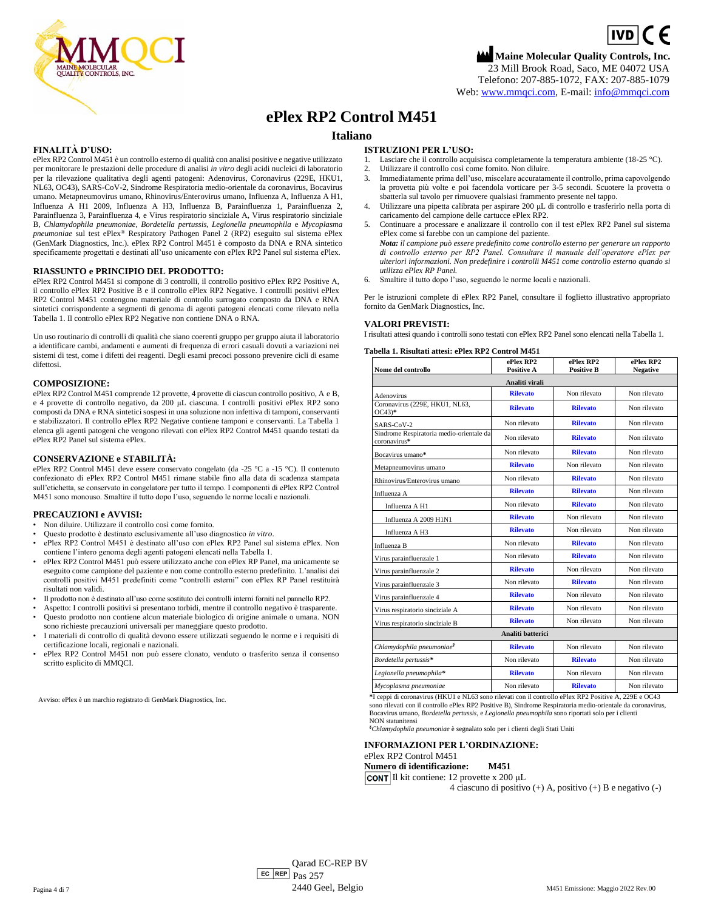

# **ePlex RP2 Control M451**

# **Italiano**

## **FINALITÀ D'USO:**

ePlex RP2 Control M451 è un controllo esterno di qualità con analisi positive e negative utilizzato per monitorare le prestazioni delle procedure di analisi *in vitro* degli acidi nucleici di laboratorio per la rilevazione qualitativa degli agenti patogeni: Adenovirus, Coronavirus (229E, HKU1, NL63, OC43), SARS-CoV-2, Sindrome Respiratoria medio-orientale da coronavirus, Bocavirus umano. Metapneumovirus umano, Rhinovirus/Enterovirus umano, Influenza A, Influenza A H1, Influenza A H1 2009, Influenza A H3, Influenza B, Parainfluenza 1, Parainfluenza 2, Parainfluenza 3, Parainfluenza 4, e Virus respiratorio sinciziale A, Virus respiratorio sinciziale B, *Chlamydophila pneumoniae, Bordetella pertussis, Legionella pneumophila* e *Mycoplasma pneumoniae* sul test ePlex® Respiratory Pathogen Panel 2 (RP2) eseguito sul sistema ePlex (GenMark Diagnostics, Inc.). ePlex RP2 Control M451 è composto da DNA e RNA sintetico specificamente progettati e destinati all'uso unicamente con ePlex RP2 Panel sul sistema ePlex.

### **RIASSUNTO e PRINCIPIO DEL PRODOTTO:**

ePlex RP2 Control M451 si compone di 3 controlli, il controllo positivo ePlex RP2 Positive A, il controllo ePlex RP2 Positive B e il controllo ePlex RP2 Negative. I controlli positivi ePlex RP2 Control M451 contengono materiale di controllo surrogato composto da DNA e RNA sintetici corrispondente a segmenti di genoma di agenti patogeni elencati come rilevato nella Tabella 1. Il controllo ePlex RP2 Negative non contiene DNA o RNA.

Un uso routinario di controlli di qualità che siano coerenti gruppo per gruppo aiuta il laboratorio a identificare cambi, andamenti e aumenti di frequenza di errori casuali dovuti a variazioni nei sistemi di test, come i difetti dei reagenti. Degli esami precoci possono prevenire cicli di esame difettosi.

### **COMPOSIZIONE:**

ePlex RP2 Control M451 comprende 12 provette, 4 provette di ciascun controllo positivo, A e B, e 4 provette di controllo negativo, da 200 μL ciascuna. I controlli positivi ePlex RP2 sono composti da DNA e RNA sintetici sospesi in una soluzione non infettiva di tamponi, conservanti e stabilizzatori. Il controllo ePlex RP2 Negative contiene tamponi e conservanti. La Tabella 1 elenca gli agenti patogeni che vengono rilevati con ePlex RP2 Control M451 quando testati da ePlex RP2 Panel sul sistema ePlex.

### **CONSERVAZIONE e STABILITÀ:**

ePlex RP2 Control M451 deve essere conservato congelato (da -25 °C a -15 °C). Il contenuto confezionato di ePlex RP2 Control M451 rimane stabile fino alla data di scadenza stampata sull'etichetta, se conservato in congelatore per tutto il tempo. I componenti di ePlex RP2 Control M451 sono monouso. Smaltire il tutto dopo l'uso, seguendo le norme locali e nazionali.

#### **PRECAUZIONI e AVVISI:**

- Non diluire. Utilizzare il controllo così come fornito.
- Questo prodotto è destinato esclusivamente all'uso diagnostico *in vitro*.
- ePlex RP2 Control M451 è destinato all'uso con ePlex RP2 Panel sul sistema ePlex. Non contiene l'intero genoma degli agenti patogeni elencati nella Tabella 1.
- ePlex RP2 Control M451 può essere utilizzato anche con ePlex RP Panel, ma unicamente se eseguito come campione del paziente e non come controllo esterno predefinito. L'analisi dei controlli positivi M451 predefiniti come "controlli esterni" con ePlex RP Panel restituirà risultati non validi.
- Il prodotto non è destinato all'uso come sostituto dei controlli interni forniti nel pannello RP2.
- Aspetto: I controlli positivi si presentano torbidi, mentre il controllo negativo è trasparente.
- Questo prodotto non contiene alcun materiale biologico di origine animale o umana. NON sono richieste precauzioni universali per maneggiare questo prodotto.
- I materiali di controllo di qualità devono essere utilizzati seguendo le norme e i requisiti di certificazione locali, regionali e nazionali.
- ePlex RP2 Control M451 non può essere clonato, venduto o trasferito senza il consenso scritto esplicito di MMQCI.

Avviso: ePlex è un marchio registrato di GenMark Diagnostics, Inc.

### **ISTRUZIONI PER L'USO:**

- 1. Lasciare che il controllo acquisisca completamente la temperatura ambiente (18-25 °C).<br>2. Utilizzare il controllo così come fornito. Non diluire
- 2. Utilizzare il controllo così come fornito. Non diluire.
- 3. Immediatamente prima dell'uso, miscelare accuratamente il controllo, prima capovolgendo la provetta più volte e poi facendola vorticare per 3-5 secondi. Scuotere la provetta o sbatterla sul tavolo per rimuovere qualsiasi frammento presente nel tappo.
- 4. Utilizzare una pipetta calibrata per aspirare 200 μL di controllo e trasferirlo nella porta di caricamento del campione delle cartucce ePlex RP2.
- 5. Continuare a processare e analizzare il controllo con il test ePlex RP2 Panel sul sistema ePlex come si farebbe con un campione del paziente.
- *Nota: il campione può essere predefinito come controllo esterno per generare un rapporto di controllo esterno per RP2 Panel. Consultare il manuale dell'operatore ePlex per ulteriori informazioni. Non predefinire i controlli M451 come controllo esterno quando si utilizza ePlex RP Panel.*
- 6. Smaltire il tutto dopo l'uso, seguendo le norme locali e nazionali.

Per le istruzioni complete di ePlex RP2 Panel, consultare il foglietto illustrativo appropriato fornito da GenMark Diagnostics, Inc.

#### **VALORI PREVISTI:**

I risultati attesi quando i controlli sono testati con ePlex RP2 Panel sono elencati nella Tabella 1.

**Tabella 1. Risultati attesi: ePlex RP2 Control M451**

| Nome del controllo                                          | ePlex RP2<br><b>Positive A</b> | ePlex RP2<br><b>Positive B</b> | ePlex RP2<br><b>Negative</b> |  |
|-------------------------------------------------------------|--------------------------------|--------------------------------|------------------------------|--|
|                                                             | Analiti virali                 |                                |                              |  |
| Adenovirus                                                  | <b>Rilevato</b>                | Non rilevato                   | Non rilevato                 |  |
| Coronavirus (229E, HKU1, NL63,<br>$OC43)*$                  | <b>Rilevato</b>                | <b>Rilevato</b>                | Non rilevato                 |  |
| SARS-CoV-2                                                  | Non rilevato                   | <b>Rilevato</b>                | Non rilevato                 |  |
| Sindrome Respiratoria medio-orientale da<br>coronavirus*    | Non rilevato                   | <b>Rilevato</b>                | Non rilevato                 |  |
| Bocavirus umano*                                            | Non rilevato                   | <b>Rilevato</b>                | Non rilevato                 |  |
| Metapneumovirus umano                                       | <b>Rilevato</b>                | Non rilevato                   | Non rilevato                 |  |
| Rhinovirus/Enterovirus umano                                | Non rilevato                   | <b>Rilevato</b>                | Non rilevato                 |  |
| Influenza A                                                 | <b>Rilevato</b>                | <b>Rilevato</b>                | Non rilevato                 |  |
| Influenza A H1                                              | Non rilevato                   | <b>Rilevato</b>                | Non rilevato                 |  |
| Influenza A 2009 H1N1                                       | <b>Rilevato</b>                | Non rilevato                   | Non rilevato                 |  |
| Influenza A H3                                              | <b>Rilevato</b>                | Non rilevato                   | Non rilevato                 |  |
| Influenza B                                                 | Non rilevato                   | <b>Rilevato</b>                | Non rilevato                 |  |
| Virus parainfluenzale 1                                     | Non rilevato                   | <b>Rilevato</b>                | Non rilevato                 |  |
| Virus parainfluenzale 2                                     | <b>Rilevato</b>                | Non rilevato                   | Non rilevato                 |  |
| Virus parainfluenzale 3                                     | Non rilevato                   | <b>Rilevato</b>                | Non rilevato                 |  |
| Virus parainfluenzale 4                                     | <b>Rilevato</b>                | Non rilevato                   | Non rilevato                 |  |
| Virus respiratorio sinciziale A                             | <b>Rilevato</b>                | Non rilevato                   | Non rilevato                 |  |
| Virus respiratorio sinciziale B                             | <b>Rilevato</b>                | Non rilevato                   | Non rilevato                 |  |
| Analiti batterici                                           |                                |                                |                              |  |
| Chlamydophila pneumoniae <sup>§</sup>                       | <b>Rilevato</b>                | Non rilevato                   | Non rilevato                 |  |
| Bordetella pertussis*                                       | Non rilevato                   | <b>Rilevato</b>                | Non rilevato                 |  |
| Legionella pneumophila*                                     | <b>Rilevato</b>                | Non rilevato                   | Non rilevato                 |  |
| Mycoplasma pneumoniae<br>$\cdots$ and $\cdots$ and $\cdots$ | Non rilevato                   | <b>Rilevato</b>                | Non rilevato                 |  |

**\***I ceppi di coronavirus (HKU1 e NL63 sono rilevati con il controllo ePlex RP2 Positive A, 229E e OC43 sono rilevati con il controllo ePlex RP2 Positive B), Sindrome Respiratoria medio-orientale da coronavirus, Bocavirus umano, *Bordetella pertussis,* e *Legionella pneumophila* sono riportati solo per i clienti

NON statunitensi *§Chlamydophila pneumoniae* è segnalato solo per i clienti degli Stati Uniti

#### **INFORMAZIONI PER L'ORDINAZIONE:** ePlex RP2 Control M451

# **Numero di identificazione: M451**

Il kit contiene: 12 provette x 200 μL

4 ciascuno di positivo (+) A, positivo (+) B e negativo (-)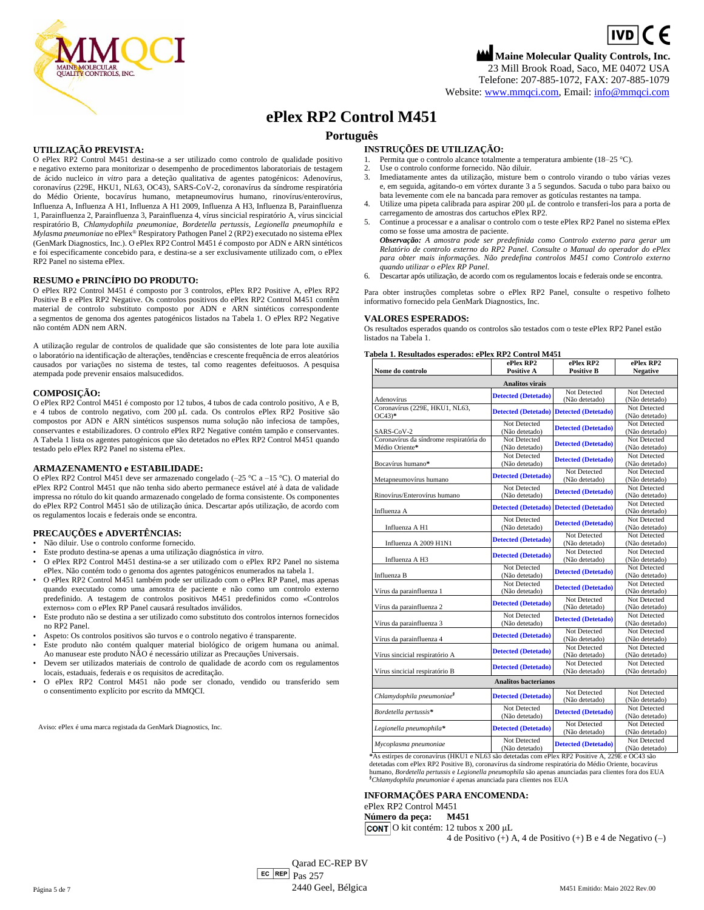

Website[: www.mmqci.com,](file://///FS1/Common/Company/CE%20Marking/M451/Translation/Translation%20Received%2005.12.2022/www.mmqci.com) Email: [info@mmqci.com](mailto:info@mmqci.com)

# **ePlex RP2 Control M451**

# **Português**

# **UTILIZAÇÃO PREVISTA:**

O ePlex RP2 Control M451 destina-se a ser utilizado como controlo de qualidade positivo e negativo externo para monitorizar o desempenho de procedimentos laboratoriais de testagem de ácido nucleico *in vitro* para a deteção qualitativa de agentes patogénicos: Adenovírus, coronavírus (229E, HKU1, NL63, OC43), SARS-CoV-2, coronavírus da síndrome respiratória do Médio Oriente, bocavírus humano, metapneumovírus humano, rinovírus/enterovírus, Influenza A, Influenza A H1, Influenza A H1 2009, Influenza A H3, Influenza B, Parainfluenza 1, Parainfluenza 2, Parainfluenza 3, Parainfluenza 4, vírus sincicial respiratório A, vírus sincicial respiratório B, *Chlamydophila pneumoniae, Bordetella pertussis, Legionella pneumophila* e *Mylasma pneumoniae* no ePlex® Respiratory Pathogen Panel 2 (RP2) executado no sistema ePlex (GenMark Diagnostics, Inc.). O ePlex RP2 Control M451 é composto por ADN e ARN sintéticos e foi especificamente concebido para, e destina-se a ser exclusivamente utilizado com, o ePlex RP2 Panel no sistema ePlex.

## **RESUMO e PRINCÍPIO DO PRODUTO:**

O ePlex RP2 Control M451 é composto por 3 controlos, ePlex RP2 Positive A, ePlex RP2 Positive B e ePlex RP2 Negative. Os controlos positivos do ePlex RP2 Control M451 contêm material de controlo substituto composto por ADN e ARN sintéticos correspondente a segmentos de genoma dos agentes patogénicos listados na Tabela 1. O ePlex RP2 Negative não contém ADN nem ARN.

A utilização regular de controlos de qualidade que são consistentes de lote para lote auxilia o laboratório na identificação de alterações, tendências e crescente frequência de erros aleatórios causados por variações no sistema de testes, tal como reagentes defeituosos. A pesquisa atempada pode prevenir ensaios malsucedidos.

### **COMPOSIÇÃO:**

O ePlex RP2 Control M451 é composto por 12 tubos, 4 tubos de cada controlo positivo, A e B, e 4 tubos de controlo negativo, com 200 μL cada. Os controlos ePlex RP2 Positive são compostos por ADN e ARN sintéticos suspensos numa solução não infeciosa de tampões, conservantes e estabilizadores. O controlo ePlex RP2 Negative contém tampão e conservantes. A Tabela 1 lista os agentes patogénicos que são detetados no ePlex RP2 Control M451 quando testado pelo ePlex RP2 Panel no sistema ePlex.

### **ARMAZENAMENTO e ESTABILIDADE:**

O ePlex RP2 Control M451 deve ser armazenado congelado (–25 °C a –15 °C). O material do ePlex RP2 Control M451 que não tenha sido aberto permanece estável até à data de validade impressa no rótulo do kit quando armazenado congelado de forma consistente. Os componentes do ePlex RP2 Control M451 são de utilização única. Descartar após utilização, de acordo com os regulamentos locais e federais onde se encontra.

### **PRECAUÇÕES e ADVERTÊNCIAS:**

- Não diluir. Use o controlo conforme fornecido.
- Este produto destina-se apenas a uma utilização diagnóstica *in vitro*.
- O ePlex RP2 Control M451 destina-se a ser utilizado com o ePlex RP2 Panel no sistema ePlex. Não contém todo o genoma dos agentes patogénicos enumerados na tabela 1.
- O ePlex RP2 Control M451 também pode ser utilizado com o ePlex RP Panel, mas apenas quando executado como uma amostra de paciente e não como um controlo externo predefinido. A testagem de controlos positivos M451 predefinidos como «Controlos externos» com o ePlex RP Panel causará resultados inválidos.
- Este produto não se destina a ser utilizado como substituto dos controlos internos fornecidos no RP2 Panel.
- Aspeto: Os controlos positivos são turvos e o controlo negativo é transparente.
- Este produto não contém qualquer material biológico de origem humana ou animal. Ao manusear este produto NÃO é necessário utilizar as Precauções Universais.
- Devem ser utilizados materiais de controlo de qualidade de acordo com os regulamentos locais, estaduais, federais e os requisitos de acreditação.
- O ePlex RP2 Control M451 não pode ser clonado, vendido ou transferido sem o consentimento explícito por escrito da MMQCI.

Aviso: ePlex é uma marca registada da GenMark Diagnostics, Inc.

### **INSTRUÇÕES DE UTILIZAÇÃO:**

- Permita que o controlo alcance totalmente a temperatura ambiente (18–25 °C).
- 2. Use o controlo conforme fornecido. Não diluir.
- 3. Imediatamente antes da utilização, misture bem o controlo virando o tubo várias vezes e, em seguida, agitando-o em vórtex durante 3 a 5 segundos. Sacuda o tubo para baixo ou bata levemente com ele na bancada para remover as gotículas restantes na tampa.
- 4. Utilize uma pipeta calibrada para aspirar 200 μL de controlo e transferi-los para a porta de carregamento de amostras dos cartuchos ePlex RP2.
- 5. Continue a processar e a analisar o controlo com o teste ePlex RP2 Panel no sistema ePlex como se fosse uma amostra de paciente.
- *Observação: A amostra pode ser predefinida como Controlo externo para gerar um Relatório de controlo externo do RP2 Panel. Consulte o Manual do operador do ePlex para obter mais informações. Não predefina controlos M451 como Controlo externo quando utilizar o ePlex RP Panel.*
- 6. Descartar após utilização, de acordo com os regulamentos locais e federais onde se encontra.

Para obter instruções completas sobre o ePlex RP2 Panel, consulte o respetivo folheto informativo fornecido pela GenMark Diagnostics, Inc.

### **VALORES ESPERADOS:**

Os resultados esperados quando os controlos são testados com o teste ePlex RP2 Panel estão listados na Tabela 1.

#### **Tabela 1. Resultados esperados: ePlex RP2 Control M451**

| Nome do controlo                                      | ePlex RP2<br><b>Positive A</b> | ePlex RP2<br><b>Positive B</b> | ePlex RP2<br><b>Negative</b>   |
|-------------------------------------------------------|--------------------------------|--------------------------------|--------------------------------|
| <b>Analitos virais</b>                                |                                |                                |                                |
|                                                       |                                | Not Detected                   | Not Detected                   |
| Adenovírus                                            | <b>Detected (Detetado)</b>     | (Não detetado)                 | (Não detetado)                 |
| Coronavírus (229E, HKU1, NL63,                        |                                |                                | Not Detected                   |
| $OC43)*$                                              | <b>Detected (Detetado)</b>     | <b>Detected (Detetado)</b>     | (Não detetado)                 |
|                                                       | Not Detected                   | <b>Detected (Detetado)</b>     | Not Detected                   |
| SARS-CoV-2                                            | (Não detetado)                 |                                | (Não detetado)                 |
| Coronavírus da síndrome respiratória do               | Not Detected                   | <b>Detected (Detetado)</b>     | Not Detected                   |
| Médio Oriente*                                        | (Não detetado)                 |                                | (Não detetado)                 |
|                                                       | Not Detected                   | <b>Detected (Detetado)</b>     | Not Detected                   |
| Bocavírus humano*                                     | (Não detetado)                 |                                | (Não detetado)                 |
|                                                       | <b>Detected (Detetado)</b>     | Not Detected                   | Not Detected                   |
| Metapneumovírus humano                                | Not Detected                   | (Não detetado)                 | (Não detetado)<br>Not Detected |
| Rinovírus/Enterovírus humano                          | (Não detetado)                 | <b>Detected (Detetado)</b>     | (Não detetado)                 |
|                                                       |                                |                                | Not Detected                   |
| Influenza A                                           | <b>Detected (Detetado)</b>     | <b>Detected (Detetado)</b>     | (Não detetado)                 |
|                                                       | Not Detected                   |                                | Not Detected                   |
| Influenza A H1                                        | (Não detetado)                 | <b>Detected (Detetado)</b>     | (Não detetado)                 |
|                                                       |                                | Not Detected                   | Not Detected                   |
| Influenza A 2009 H1N1                                 | <b>Detected (Detetado)</b>     | (Não detetado)                 | (Não detetado)                 |
|                                                       | <b>Detected (Detetado)</b>     | Not Detected                   | Not Detected                   |
| Influenza A H3                                        |                                | (Não detetado)                 | (Não detetado)                 |
|                                                       | Not Detected                   | <b>Detected (Detetado)</b>     | Not Detected                   |
| Influenza B                                           | (Não detetado)                 |                                | (Não detetado)                 |
|                                                       | Not Detected                   | <b>Detected (Detetado)</b>     | Not Detected                   |
| Vírus da parainfluenza 1                              | (Não detetado)                 |                                | (Não detetado)                 |
|                                                       | <b>Detected (Detetado)</b>     | Not Detected<br>(Não detetado) | Not Detected<br>(Não detetado) |
| Vírus da parainfluenza 2                              | Not Detected                   |                                | Not Detected                   |
| Vírus da parainfluenza 3                              | (Não detetado)                 | <b>Detected (Detetado)</b>     | (Não detetado)                 |
|                                                       |                                | Not Detected                   | Not Detected                   |
| Vírus da parainfluenza 4                              | <b>Detected (Detetado)</b>     | (Não detetado)                 | (Não detetado)                 |
|                                                       |                                | Not Detected                   | Not Detected                   |
| Vírus sincicial respiratório A                        | <b>Detected (Detetado)</b>     | (Não detetado)                 | (Não detetado)                 |
|                                                       | <b>Detected (Detetado)</b>     | Not Detected                   | Not Detected                   |
| Vírus sincicial respiratório B                        |                                | (Não detetado)                 | (Não detetado)                 |
| <b>Analitos bacterianos</b>                           |                                |                                |                                |
|                                                       |                                | Not Detected                   | Not Detected                   |
| Chlamydophila pneumoniae <sup>§</sup>                 | <b>Detected (Detetado)</b>     | (Não detetado)                 | (Não detetado)                 |
| Bordetella pertussis*                                 | Not Detected                   | <b>Detected (Detetado)</b>     | Not Detected                   |
|                                                       | (Não detetado)                 |                                | (Não detetado)                 |
| Legionella pneumophila*<br><b>Detected (Detetado)</b> | Not Detected                   | Not Detected                   |                                |
|                                                       |                                | (Não detetado)                 | (Não detetado)                 |
| Mycoplasma pneumoniae                                 | Not Detected                   | <b>Detected (Detetado)</b>     | Not Detected                   |
|                                                       | (Não detetado)                 |                                | (Não detetado)                 |

**\***As estirpes de coronavírus (HKU1 e NL63 são detetadas com ePlex RP2 Positive A, 229E e OC43 são detetadas com ePlex RP2 Positive B), coronavírus da síndrome respiratória do Médio Oriente, bocavírus humano, *Bordetella pertussis* e *Legionella pneumophila* são apenas anunciadas para clientes fora dos EUA *§Chlamydophila pneumoniae* é apenas anunciada para clientes nos EUA

### **INFORMAÇÕES PARA ENCOMENDA:**

ePlex RP2 Control M451<br>Número da peca: M451

**Número da peça:** 

O kit contém: 12 tubos x 200 μL

4 de Positivo (+) A, 4 de Positivo (+) B e 4 de Negativo (–)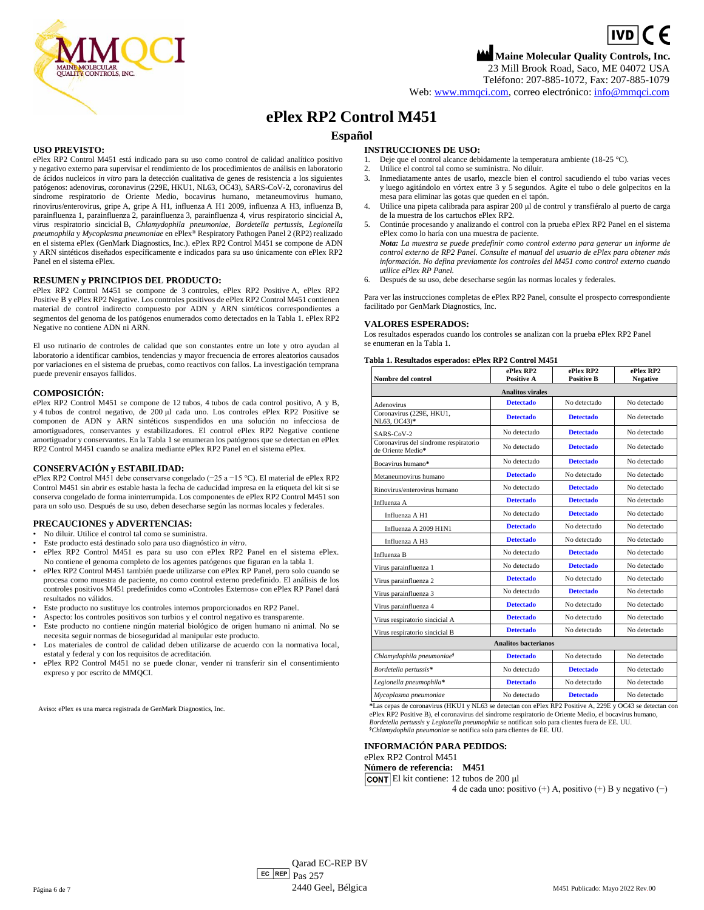$\boxed{IVD}$  (  $\in$ **Maine Molecular Quality Controls, Inc.**

23 Mill Brook Road, Saco, ME 04072 USA Teléfono: 207-885-1072, Fax: 207-885-1079

Web: [www.mmqci.com,](file://///FS1/Common/Company/CE%20Marking/M451/Translation/Translation%20Received%2005.12.2022/www.mmqci.com) correo electrónico: [info@mmqci.com](mailto:info@mmqci.com)

# **ePlex RP2 Control M451**

# **Español**

### **USO PREVISTO:**

ePlex RP2 Control M451 está indicado para su uso como control de calidad analítico positivo y negativo externo para supervisar el rendimiento de los procedimientos de análisis en laboratorio de ácidos nucleicos *in vitro* para la detección cualitativa de genes de resistencia a los siguientes patógenos: adenovirus, coronavirus (229E, HKU1, NL63, OC43), SARS-CoV-2, coronavirus del síndrome respiratorio de Oriente Medio, bocavirus humano, metaneumovirus humano, rinovirus/enterovirus, gripe A, gripe A H1, influenza A H1 2009, influenza A H3, influenza B, parainfluenza 1, parainfluenza 2, parainfluenza 3, parainfluenza 4, virus respiratorio sincicial A, virus respiratorio sincicial B, *Chlamydophila pneumoniae, Bordetella pertussis, Legionella pneumophila* y *Mycoplasma pneumoniae* en ePlex® Respiratory Pathogen Panel 2 (RP2) realizado en el sistema ePlex (GenMark Diagnostics, Inc.). ePlex RP2 Control M451 se compone de ADN y ARN sintéticos diseñados específicamente e indicados para su uso únicamente con ePlex RP2 Panel en el sistema ePlex.

### **RESUMEN y PRINCIPIOS DEL PRODUCTO:**

ePlex RP2 Control M451 se compone de 3 controles, ePlex RP2 Positive A, ePlex RP2 Positive B y ePlex RP2 Negative. Los controles positivos de ePlex RP2 Control M451 contienen material de control indirecto compuesto por ADN y ARN sintéticos correspondientes a segmentos del genoma de los patógenos enumerados como detectados en la Tabla 1. ePlex RP2 Negative no contiene ADN ni ARN.

El uso rutinario de controles de calidad que son constantes entre un lote y otro ayudan al laboratorio a identificar cambios, tendencias y mayor frecuencia de errores aleatorios causados por variaciones en el sistema de pruebas, como reactivos con fallos. La investigación temprana puede prevenir ensayos fallidos.

### **COMPOSICIÓN:**

ePlex RP2 Control M451 se compone de 12 tubos, 4 tubos de cada control positivo, A y B, y 4 tubos de control negativo, de 200 μl cada uno. Los controles ePlex RP2 Positive se componen de ADN y ARN sintéticos suspendidos en una solución no infecciosa de amortiguadores, conservantes y estabilizadores. El control ePlex RP2 Negative contiene amortiguador y conservantes. En la Tabla 1 se enumeran los patógenos que se detectan en ePlex RP2 Control M451 cuando se analiza mediante ePlex RP2 Panel en el sistema ePlex.

### **CONSERVACIÓN y ESTABILIDAD:**

ePlex RP2 Control M451 debe conservarse congelado (−25 a −15 °C). El material de ePlex RP2 Control M451 sin abrir es estable hasta la fecha de caducidad impresa en la etiqueta del kit si se conserva congelado de forma ininterrumpida. Los componentes de ePlex RP2 Control M451 son para un solo uso. Después de su uso, deben desecharse según las normas locales y federales.

### **PRECAUCIONES y ADVERTENCIAS:**

- No diluir. Utilice el control tal como se suministra.
- Este producto está destinado solo para uso diagnóstico *in vitro*.
- ePlex RP2 Control M451 es para su uso con ePlex RP2 Panel en el sistema ePlex. No contiene el genoma completo de los agentes patógenos que figuran en la tabla 1.
- ePlex RP2 Control M451 también puede utilizarse con ePlex RP Panel, pero solo cuando se procesa como muestra de paciente, no como control externo predefinido. El análisis de los controles positivos M451 predefinidos como «Controles Externos» con ePlex RP Panel dará resultados no válidos.
- Este producto no sustituye los controles internos proporcionados en RP2 Panel.
- Aspecto: los controles positivos son turbios y el control negativo es transparente.
- Este producto no contiene ningún material biológico de origen humano ni animal. No se necesita seguir normas de bioseguridad al manipular este producto.
- Los materiales de control de calidad deben utilizarse de acuerdo con la normativa local, estatal y federal y con los requisitos de acreditación.
- ePlex RP2 Control M451 no se puede clonar, vender ni transferir sin el consentimiento expreso y por escrito de MMQCI.

Aviso: ePlex es una marca registrada de GenMark Diagnostics, Inc.

## **INSTRUCCIONES DE USO:**

- 1. Deje que el control alcance debidamente la temperatura ambiente (18-25 °C).<br>2. Utilice el control tal como se suministra No diluir
- 2. Utilice el control tal como se suministra. No diluir.
- 3. Inmediatamente antes de usarlo, mezcle bien el control sacudiendo el tubo varias veces y luego agitándolo en vórtex entre 3 y 5 segundos. Agite el tubo o dele golpecitos en la mesa para eliminar las gotas que queden en el tapón.
- 4. Utilice una pipeta calibrada para aspirar 200 μl de control y transfiéralo al puerto de carga de la muestra de los cartuchos ePlex RP2.
- 5. Continúe procesando y analizando el control con la prueba ePlex RP2 Panel en el sistema ePlex como lo haría con una muestra de paciente.
- *Nota: La muestra se puede predefinir como control externo para generar un informe de control externo de RP2 Panel. Consulte el manual del usuario de ePlex para obtener más información. No defina previamente los controles del M451 como control externo cuando utilice ePlex RP Panel.*
- 6. Después de su uso, debe desecharse según las normas locales y federales.

Para ver las instrucciones completas de ePlex RP2 Panel, consulte el prospecto correspondiente facilitado por GenMark Diagnostics, Inc.

### **VALORES ESPERADOS:**

Los resultados esperados cuando los controles se analizan con la prueba ePlex RP2 Panel se enumeran en la Tabla 1.

#### **Tabla 1. Resultados esperados: ePlex RP2 Control M451**

| Nombre del control                                         | ePlex RP2<br><b>Positive A</b> | ePlex RP2<br><b>Positive B</b> | ePlex RP2<br><b>Negative</b> |
|------------------------------------------------------------|--------------------------------|--------------------------------|------------------------------|
| <b>Analitos virales</b>                                    |                                |                                |                              |
| Adenovirus                                                 | <b>Detectado</b>               | No detectado                   | No detectado                 |
| Coronavirus (229E, HKU1,<br>NL63, OC43)*                   | <b>Detectado</b>               | <b>Detectado</b>               | No detectado                 |
| SARS-CoV-2                                                 | No detectado                   | <b>Detectado</b>               | No detectado                 |
| Coronavirus del síndrome respiratorio<br>de Oriente Medio* | No detectado                   | <b>Detectado</b>               | No detectado                 |
| Bocavirus humano*                                          | No detectado                   | <b>Detectado</b>               | No detectado                 |
| Metaneumovirus humano                                      | <b>Detectado</b>               | No detectado                   | No detectado                 |
| Rinovirus/enterovirus humano                               | No detectado                   | <b>Detectado</b>               | No detectado                 |
| Influenza A                                                | <b>Detectado</b>               | <b>Detectado</b>               | No detectado                 |
| Influenza A H1                                             | No detectado                   | <b>Detectado</b>               | No detectado                 |
| Influenza A 2009 H1N1                                      | <b>Detectado</b>               | No detectado                   | No detectado                 |
| Influenza A H3                                             | <b>Detectado</b>               | No detectado                   | No detectado                 |
| Influenza B                                                | No detectado                   | <b>Detectado</b>               | No detectado                 |
| Virus parainfluenza 1                                      | No detectado                   | <b>Detectado</b>               | No detectado                 |
| Virus parainfluenza 2                                      | <b>Detectado</b>               | No detectado                   | No detectado                 |
| Virus parainfluenza 3                                      | No detectado                   | <b>Detectado</b>               | No detectado                 |
| Virus parainfluenza 4                                      | <b>Detectado</b>               | No detectado                   | No detectado                 |
| Virus respiratorio sincicial A                             | <b>Detectado</b>               | No detectado                   | No detectado                 |
| Virus respiratorio sincicial B                             | <b>Detectado</b>               | No detectado                   | No detectado                 |
|                                                            | <b>Analitos bacterianos</b>    |                                |                              |
| Chlamydophila pneumoniae <sup>§</sup>                      | <b>Detectado</b>               | No detectado                   | No detectado                 |
| Bordetella pertussis*                                      | No detectado                   | <b>Detectado</b>               | No detectado                 |
| Legionella pneumophila*                                    | <b>Detectado</b>               | No detectado                   | No detectado                 |
| Mycoplasma pneumoniae                                      | No detectado                   | <b>Detectado</b>               | No detectado                 |

**\***Las cepas de coronavirus (HKU1 y NL63 se detectan con ePlex RP2 Positive A, 229E y OC43 se detectan con ePlex RP2 Positive B), el coronavirus del síndrome respiratorio de Oriente Medio, el bocavirus humano, *Bordetella pertussis* y *Legionella pneumophila* se notifican solo para clientes fuera de EE. UU.

*§Chlamydophila pneumoniae* se notifica solo para clientes de EE. UU.

#### **INFORMACIÓN PARA PEDIDOS:** ePlex RP2 Control M451

# **Número de referencia: M451**

El kit contiene: 12 tubos de 200 μl

4 de cada uno: positivo (+) A, positivo (+) B y negativo (−)